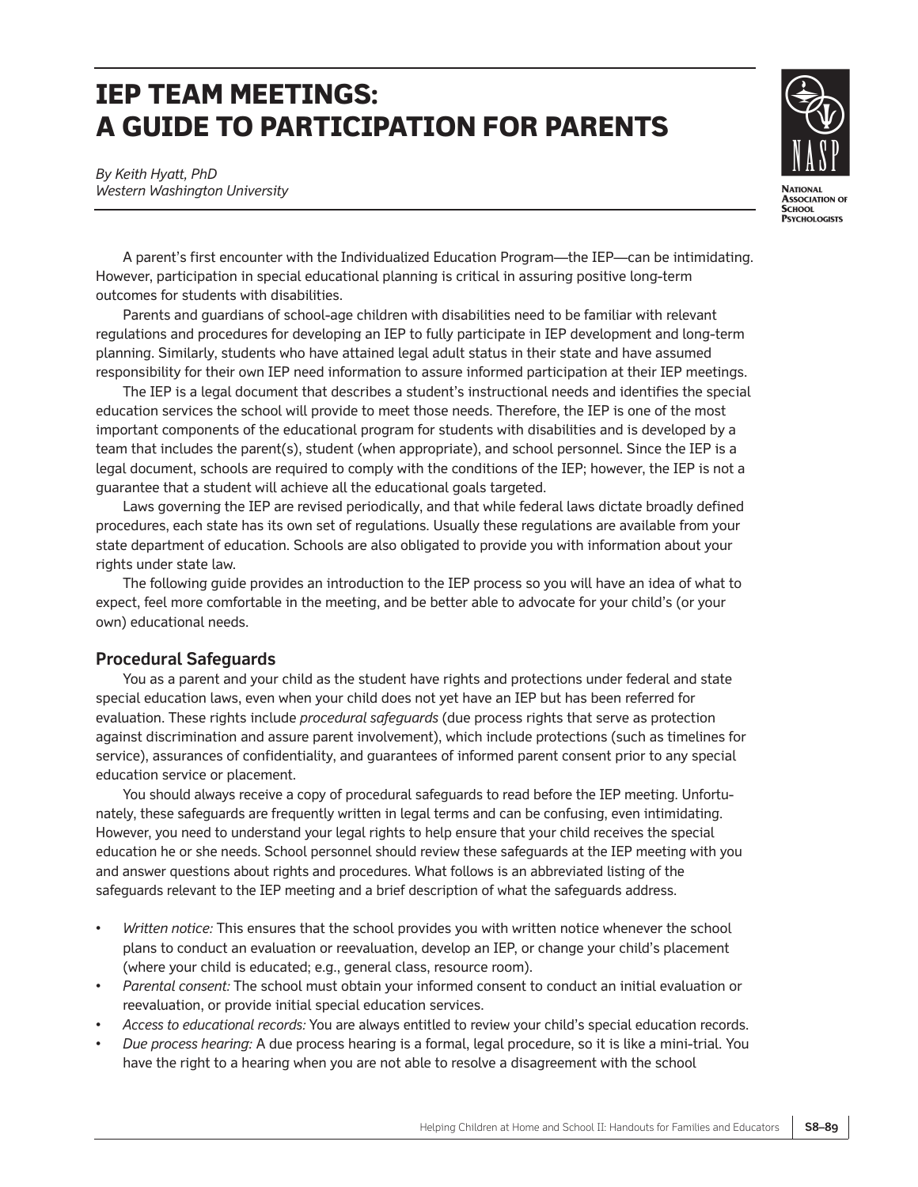# **IEP TEAM MEETINGS: A GUIDE TO PARTICIPATION FOR PARENTS**



*By Keith Hyatt, PhD Western Washington University*

A parent's first encounter with the Individualized Education Program—the IEP—can be intimidating. However, participation in special educational planning is critical in assuring positive long-term outcomes for students with disabilities.

Parents and guardians of school-age children with disabilities need to be familiar with relevant regulations and procedures for developing an IEP to fully participate in IEP development and long-term planning. Similarly, students who have attained legal adult status in their state and have assumed responsibility for their own IEP need information to assure informed participation at their IEP meetings.

The IEP is a legal document that describes a student's instructional needs and identifies the special education services the school will provide to meet those needs. Therefore, the IEP is one of the most important components of the educational program for students with disabilities and is developed by a team that includes the parent(s), student (when appropriate), and school personnel. Since the IEP is a legal document, schools are required to comply with the conditions of the IEP; however, the IEP is not a guarantee that a student will achieve all the educational goals targeted.

Laws governing the IEP are revised periodically, and that while federal laws dictate broadly defined procedures, each state has its own set of regulations. Usually these regulations are available from your state department of education. Schools are also obligated to provide you with information about your rights under state law.

The following guide provides an introduction to the IEP process so you will have an idea of what to expect, feel more comfortable in the meeting, and be better able to advocate for your child's (or your own) educational needs.

# **Procedural Safeguards**

You as a parent and your child as the student have rights and protections under federal and state special education laws, even when your child does not yet have an IEP but has been referred for evaluation. These rights include *procedural safeguards* (due process rights that serve as protection against discrimination and assure parent involvement), which include protections (such as timelines for service), assurances of confidentiality, and guarantees of informed parent consent prior to any special education service or placement.

You should always receive a copy of procedural safeguards to read before the IEP meeting. Unfortunately, these safeguards are frequently written in legal terms and can be confusing, even intimidating. However, you need to understand your legal rights to help ensure that your child receives the special education he or she needs. School personnel should review these safeguards at the IEP meeting with you and answer questions about rights and procedures. What follows is an abbreviated listing of the safeguards relevant to the IEP meeting and a brief description of what the safeguards address.

- *Written notice:* This ensures that the school provides you with written notice whenever the school plans to conduct an evaluation or reevaluation, develop an IEP, or change your child's placement (where your child is educated; e.g., general class, resource room).
- *Parental consent:* The school must obtain your informed consent to conduct an initial evaluation or reevaluation, or provide initial special education services.
- *Access to educational records:* You are always entitled to review your child's special education records.
- *Due process hearing:* A due process hearing is a formal, legal procedure, so it is like a mini-trial. You have the right to a hearing when you are not able to resolve a disagreement with the school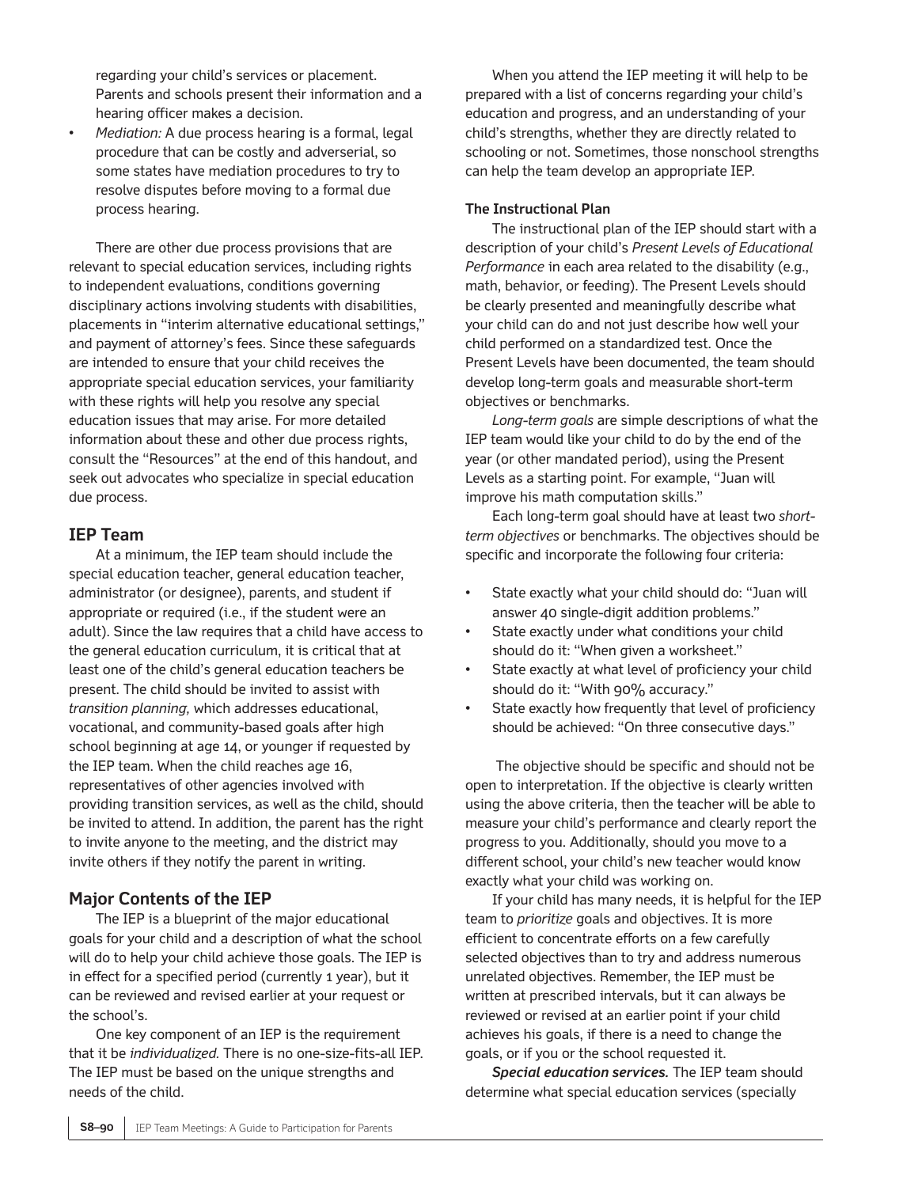regarding your child's services or placement. Parents and schools present their information and a hearing officer makes a decision.

• *Mediation:* A due process hearing is a formal, legal procedure that can be costly and adverserial, so some states have mediation procedures to try to resolve disputes before moving to a formal due process hearing.

There are other due process provisions that are relevant to special education services, including rights to independent evaluations, conditions governing disciplinary actions involving students with disabilities, placements in "interim alternative educational settings," and payment of attorney's fees. Since these safeguards are intended to ensure that your child receives the appropriate special education services, your familiarity with these rights will help you resolve any special education issues that may arise. For more detailed information about these and other due process rights, consult the "Resources" at the end of this handout, and seek out advocates who specialize in special education due process.

# **IEP Team**

At a minimum, the IEP team should include the special education teacher, general education teacher, administrator (or designee), parents, and student if appropriate or required (i.e., if the student were an adult). Since the law requires that a child have access to the general education curriculum, it is critical that at least one of the child's general education teachers be present. The child should be invited to assist with *transition planning,* which addresses educational, vocational, and community-based goals after high school beginning at age 14, or younger if requested by the IEP team. When the child reaches age 16, representatives of other agencies involved with providing transition services, as well as the child, should be invited to attend. In addition, the parent has the right to invite anyone to the meeting, and the district may invite others if they notify the parent in writing.

## **Major Contents of the IEP**

The IEP is a blueprint of the major educational goals for your child and a description of what the school will do to help your child achieve those goals. The IEP is in effect for a specified period (currently 1 year), but it can be reviewed and revised earlier at your request or the school's.

One key component of an IEP is the requirement that it be *individualized.* There is no one-size-fits-all IEP. The IEP must be based on the unique strengths and needs of the child.

When you attend the IEP meeting it will help to be prepared with a list of concerns regarding your child's education and progress, and an understanding of your child's strengths, whether they are directly related to schooling or not. Sometimes, those nonschool strengths can help the team develop an appropriate IEP.

## **The Instructional Plan**

The instructional plan of the IEP should start with a description of your child's *Present Levels of Educational Performance* in each area related to the disability (e.g., math, behavior, or feeding). The Present Levels should be clearly presented and meaningfully describe what your child can do and not just describe how well your child performed on a standardized test. Once the Present Levels have been documented, the team should develop long-term goals and measurable short-term objectives or benchmarks.

*Long-term goals* are simple descriptions of what the IEP team would like your child to do by the end of the year (or other mandated period), using the Present Levels as a starting point. For example, "Juan will improve his math computation skills."

Each long-term goal should have at least two *shortterm objectives* or benchmarks. The objectives should be specific and incorporate the following four criteria:

- State exactly what your child should do: "Juan will answer 40 single-digit addition problems."
- State exactly under what conditions your child should do it: "When given a worksheet."
- State exactly at what level of proficiency your child should do it: "With 90% accuracy."
- State exactly how frequently that level of proficiency should be achieved: "On three consecutive days."

The objective should be specific and should not be open to interpretation. If the objective is clearly written using the above criteria, then the teacher will be able to measure your child's performance and clearly report the progress to you. Additionally, should you move to a different school, your child's new teacher would know exactly what your child was working on.

If your child has many needs, it is helpful for the IEP team to *prioritize* goals and objectives. It is more efficient to concentrate efforts on a few carefully selected objectives than to try and address numerous unrelated objectives. Remember, the IEP must be written at prescribed intervals, but it can always be reviewed or revised at an earlier point if your child achieves his goals, if there is a need to change the goals, or if you or the school requested it.

*Special education services.* The IEP team should determine what special education services (specially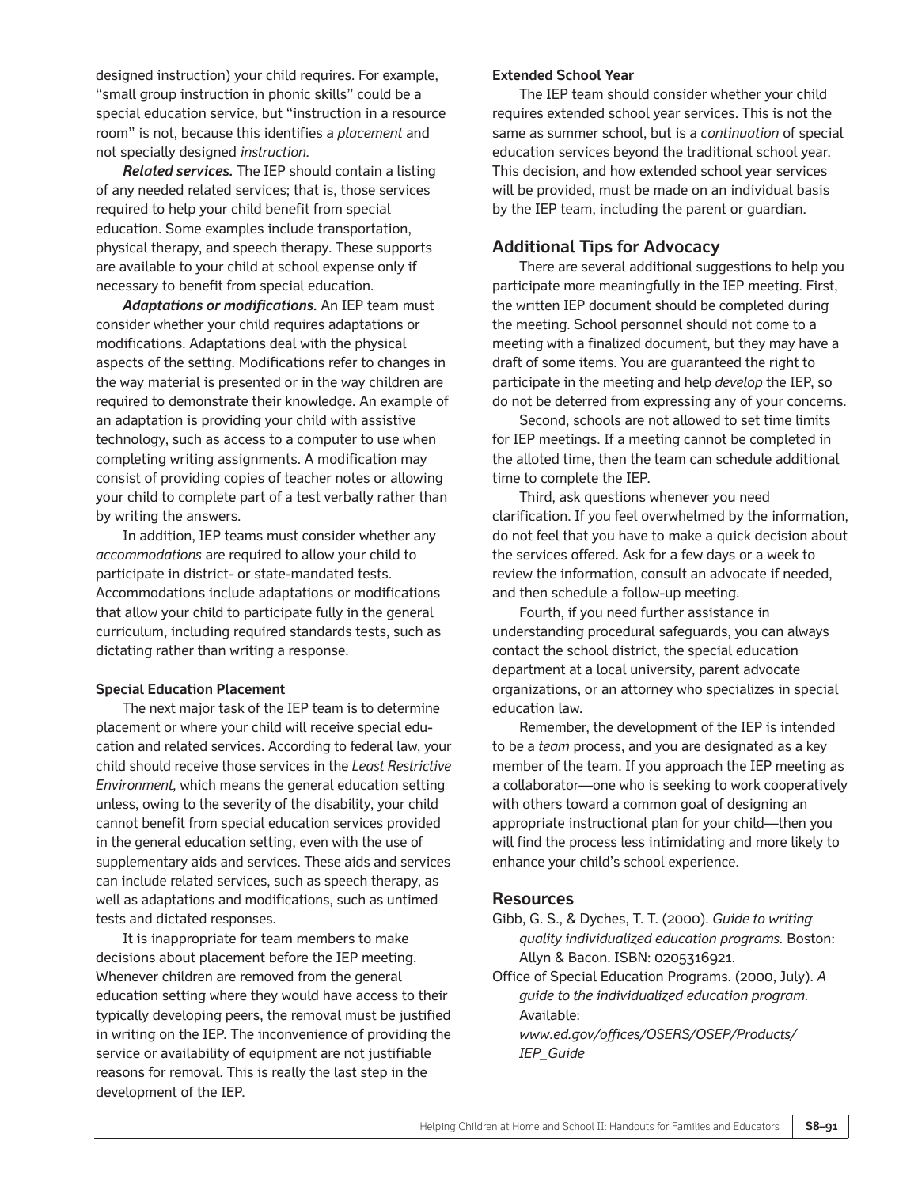designed instruction) your child requires. For example, "small group instruction in phonic skills" could be a special education service, but "instruction in a resource room" is not, because this identifies a *placement* and not specially designed *instruction.* 

*Related services.* The IEP should contain a listing of any needed related services; that is, those services required to help your child benefit from special education. Some examples include transportation, physical therapy, and speech therapy. These supports are available to your child at school expense only if necessary to benefit from special education.

*Adaptations or modifications.* An IEP team must consider whether your child requires adaptations or modifications. Adaptations deal with the physical aspects of the setting. Modifications refer to changes in the way material is presented or in the way children are required to demonstrate their knowledge. An example of an adaptation is providing your child with assistive technology, such as access to a computer to use when completing writing assignments. A modification may consist of providing copies of teacher notes or allowing your child to complete part of a test verbally rather than by writing the answers.

In addition, IEP teams must consider whether any *accommodations* are required to allow your child to participate in district- or state-mandated tests. Accommodations include adaptations or modifications that allow your child to participate fully in the general curriculum, including required standards tests, such as dictating rather than writing a response.

#### **Special Education Placement**

The next major task of the IEP team is to determine placement or where your child will receive special education and related services. According to federal law, your child should receive those services in the *Least Restrictive Environment,* which means the general education setting unless, owing to the severity of the disability, your child cannot benefit from special education services provided in the general education setting, even with the use of supplementary aids and services. These aids and services can include related services, such as speech therapy, as well as adaptations and modifications, such as untimed tests and dictated responses.

It is inappropriate for team members to make decisions about placement before the IEP meeting. Whenever children are removed from the general education setting where they would have access to their typically developing peers, the removal must be justified in writing on the IEP. The inconvenience of providing the service or availability of equipment are not justifiable reasons for removal. This is really the last step in the development of the IEP.

#### **Extended School Year**

The IEP team should consider whether your child requires extended school year services. This is not the same as summer school, but is a *continuation* of special education services beyond the traditional school year. This decision, and how extended school year services will be provided, must be made on an individual basis by the IEP team, including the parent or guardian.

## **Additional Tips for Advocacy**

There are several additional suggestions to help you participate more meaningfully in the IEP meeting. First, the written IEP document should be completed during the meeting. School personnel should not come to a meeting with a finalized document, but they may have a draft of some items. You are guaranteed the right to participate in the meeting and help *develop* the IEP, so do not be deterred from expressing any of your concerns.

Second, schools are not allowed to set time limits for IEP meetings. If a meeting cannot be completed in the alloted time, then the team can schedule additional time to complete the IEP.

Third, ask questions whenever you need clarification. If you feel overwhelmed by the information, do not feel that you have to make a quick decision about the services offered. Ask for a few days or a week to review the information, consult an advocate if needed, and then schedule a follow-up meeting.

Fourth, if you need further assistance in understanding procedural safeguards, you can always contact the school district, the special education department at a local university, parent advocate organizations, or an attorney who specializes in special education law.

Remember, the development of the IEP is intended to be a *team* process, and you are designated as a key member of the team. If you approach the IEP meeting as a collaborator—one who is seeking to work cooperatively with others toward a common goal of designing an appropriate instructional plan for your child—then you will find the process less intimidating and more likely to enhance your child's school experience.

### **Resources**

- Gibb, G. S., & Dyches, T. T. (2000). *Guide to writing quality individualized education programs.* Boston: Allyn & Bacon. ISBN: 0205316921.
- Office of Special Education Programs. (2000, July). *A guide to the individualized education program.* Available:

*www.ed.gov/offices/OSERS/OSEP/Products/ IEP\_Guide*